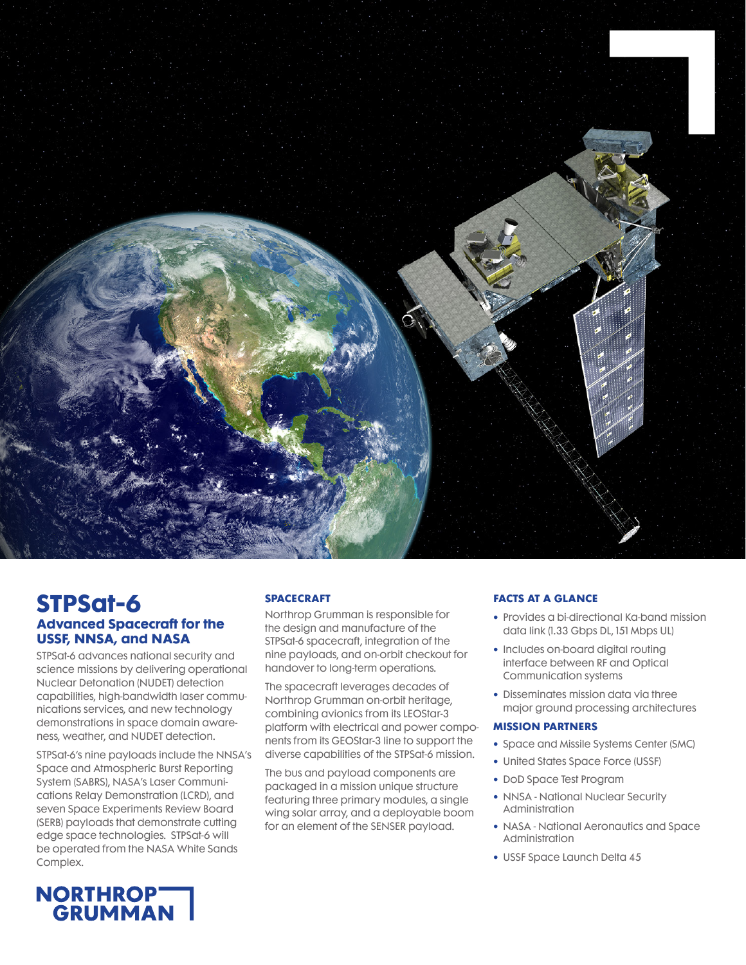

# **STPSat-6 Advanced Spacecraft for the USSF, NNSA, and NASA**

STPSat-6 advances national security and science missions by delivering operational Nuclear Detonation (NUDET) detection capabilities, high-bandwidth laser communications services, and new technology demonstrations in space domain awareness, weather, and NUDET detection.

STPSat-6's nine payloads include the NNSA's Space and Atmospheric Burst Reporting System (SABRS), NASA's Laser Communications Relay Demonstration (LCRD), and seven Space Experiments Review Board (SERB) payloads that demonstrate cutting edge space technologies. STPSat-6 will be operated from the NASA White Sands Complex.

### **SPACECRAFT**

Northrop Grumman is responsible for the design and manufacture of the STPSat-6 spacecraft, integration of the nine payloads, and on-orbit checkout for handover to long-term operations.

The spacecraft leverages decades of Northrop Grumman on-orbit heritage, combining avionics from its LEOStar-3 platform with electrical and power components from its GEOStar-3 line to support the diverse capabilities of the STPSat-6 mission.

The bus and payload components are packaged in a mission unique structure featuring three primary modules, a single wing solar array, and a deployable boom for an element of the SENSER payload.

## **FACTS AT A GLANCE**

- **•** Provides a bi-directional Ka-band mission data link (1.33 Gbps DL, 151 Mbps UL)
- **•** Includes on-board digital routing interface between RF and Optical Communication systems
- **•** Disseminates mission data via three major ground processing architectures

#### **MISSION PARTNERS**

- **•** Space and Missile Systems Center (SMC)
- **•** United States Space Force (USSF)
- **•** DoD Space Test Program
- **•** NNSA National Nuclear Security Administration
- **•** NASA National Aeronautics and Space Administration
- **•** USSF Space Launch Delta 45